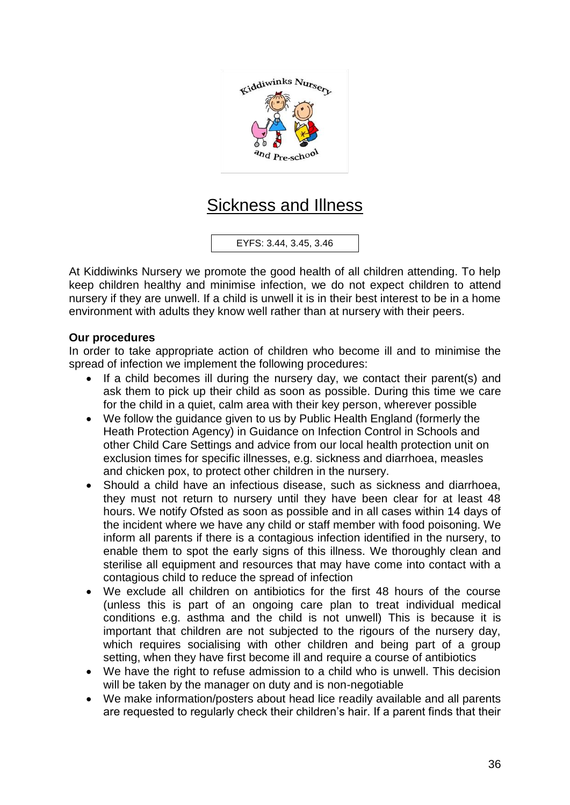

## Sickness and Illness

EYFS: 3.44, 3.45, 3.46

At Kiddiwinks Nursery we promote the good health of all children attending. To help keep children healthy and minimise infection, we do not expect children to attend nursery if they are unwell. If a child is unwell it is in their best interest to be in a home environment with adults they know well rather than at nursery with their peers.

## **Our procedures**

In order to take appropriate action of children who become ill and to minimise the spread of infection we implement the following procedures:

- If a child becomes ill during the nursery day, we contact their parent(s) and ask them to pick up their child as soon as possible. During this time we care for the child in a quiet, calm area with their key person, wherever possible
- We follow the guidance given to us by Public Health England (formerly the Heath Protection Agency) in Guidance on Infection Control in Schools and other Child Care Settings and advice from our local health protection unit on exclusion times for specific illnesses, e.g. sickness and diarrhoea, measles and chicken pox, to protect other children in the nursery.
- Should a child have an infectious disease, such as sickness and diarrhoea, they must not return to nursery until they have been clear for at least 48 hours. We notify Ofsted as soon as possible and in all cases within 14 days of the incident where we have any child or staff member with food poisoning. We inform all parents if there is a contagious infection identified in the nursery, to enable them to spot the early signs of this illness. We thoroughly clean and sterilise all equipment and resources that may have come into contact with a contagious child to reduce the spread of infection
- We exclude all children on antibiotics for the first 48 hours of the course (unless this is part of an ongoing care plan to treat individual medical conditions e.g. asthma and the child is not unwell) This is because it is important that children are not subjected to the rigours of the nursery day, which requires socialising with other children and being part of a group setting, when they have first become ill and require a course of antibiotics
- We have the right to refuse admission to a child who is unwell. This decision will be taken by the manager on duty and is non-negotiable
- We make information/posters about head lice readily available and all parents are requested to regularly check their children's hair. If a parent finds that their